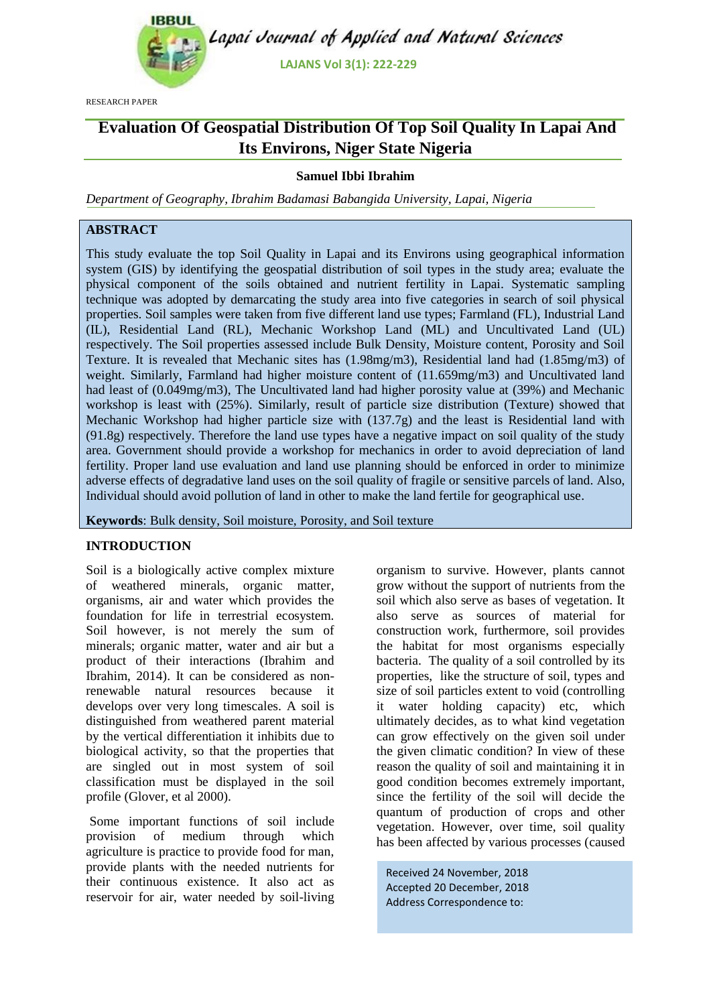

RESEARCH PAPER

# **Evaluation Of Geospatial Distribution Of Top Soil Quality In Lapai And Its Environs, Niger State Nigeria**

## **Samuel Ibbi Ibrahim**

*Department of Geography, Ibrahim Badamasi Babangida University, Lapai, Nigeria*

## **ABSTRACT**

This study evaluate the top Soil Quality in Lapai and its Environs using geographical information system (GIS) by identifying the geospatial distribution of soil types in the study area; evaluate the physical component of the soils obtained and nutrient fertility in Lapai. Systematic sampling technique was adopted by demarcating the study area into five categories in search of soil physical properties. Soil samples were taken from five different land use types; Farmland (FL), Industrial Land (IL), Residential Land (RL), Mechanic Workshop Land (ML) and Uncultivated Land (UL) respectively. The Soil properties assessed include Bulk Density, Moisture content, Porosity and Soil Texture. It is revealed that Mechanic sites has (1.98mg/m3), Residential land had (1.85mg/m3) of weight. Similarly, Farmland had higher moisture content of (11.659mg/m3) and Uncultivated land had least of (0.049mg/m3), The Uncultivated land had higher porosity value at (39%) and Mechanic workshop is least with (25%). Similarly, result of particle size distribution (Texture) showed that Mechanic Workshop had higher particle size with (137.7g) and the least is Residential land with (91.8g) respectively. Therefore the land use types have a negative impact on soil quality of the study area. Government should provide a workshop for mechanics in order to avoid depreciation of land fertility. Proper land use evaluation and land use planning should be enforced in order to minimize adverse effects of degradative land uses on the soil quality of fragile or sensitive parcels of land. Also, Individual should avoid pollution of land in other to make the land fertile for geographical use.

**Keywords**: Bulk density, Soil moisture, Porosity, and Soil texture

## **INTRODUCTION**

Soil is a biologically active complex mixture of weathered minerals, organic matter, organisms, air and water which provides the foundation for life in terrestrial ecosystem. Soil however, is not merely the sum of minerals; organic matter, water and air but a product of their interactions (Ibrahim and Ibrahim, 2014). It can be considered as nonrenewable natural resources because it develops over very long timescales. A soil is distinguished from weathered parent material by the vertical differentiation it inhibits due to biological activity, so that the properties that are singled out in most system of soil classification must be displayed in the soil profile (Glover, et al 2000).

Some important functions of soil include provision of medium through which agriculture is practice to provide food for man, provide plants with the needed nutrients for their continuous existence. It also act as reservoir for air, water needed by soil-living organism to survive. However, plants cannot grow without the support of nutrients from the soil which also serve as bases of vegetation. It also serve as sources of material for construction work, furthermore, soil provides the habitat for most organisms especially bacteria. The quality of a soil controlled by its properties, like the structure of soil, types and size of soil particles extent to void (controlling it water holding capacity) etc, which ultimately decides, as to what kind vegetation can grow effectively on the given soil under the given climatic condition? In view of these reason the quality of soil and maintaining it in good condition becomes extremely important, since the fertility of the soil will decide the quantum of production of crops and other vegetation. However, over time, soil quality has been affected by various processes (caused

Received 24 November, 2018 Accepted 20 December, 2018 Address Correspondence to: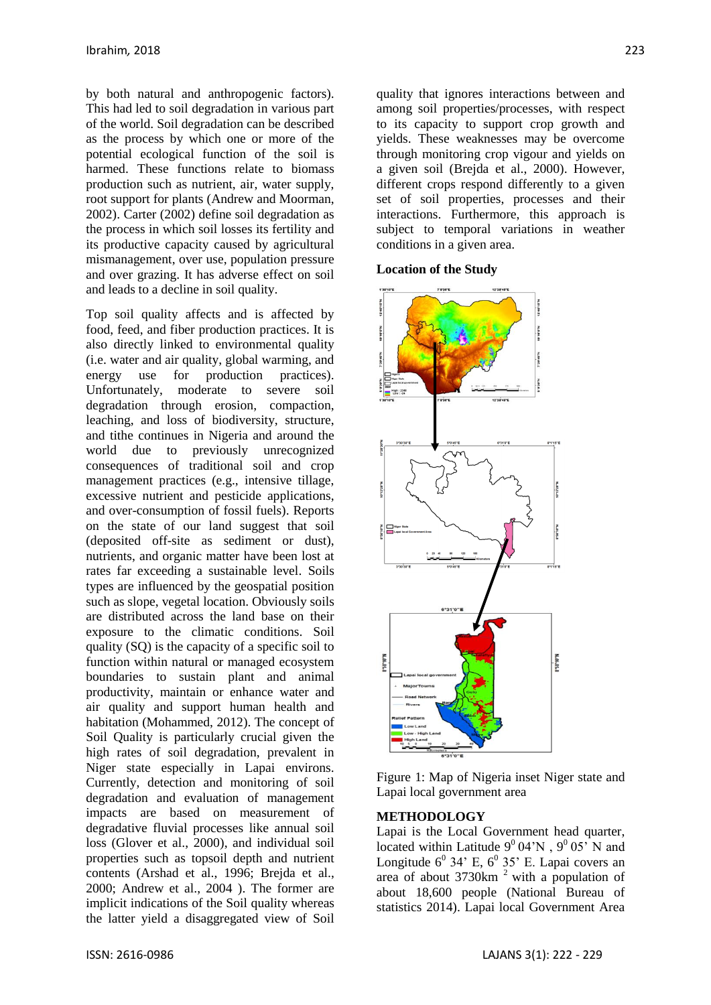by both natural and anthropogenic factors). This had led to soil degradation in various part of the world. Soil degradation can be described as the process by which one or more of the potential ecological function of the soil is harmed. These functions relate to biomass production such as nutrient, air, water supply, root support for plants (Andrew and Moorman, 2002). Carter (2002) define soil degradation as the process in which soil losses its fertility and its productive capacity caused by agricultural mismanagement, over use, population pressure and over grazing. It has adverse effect on soil and leads to a decline in soil quality.

Top soil quality affects and is affected by food, feed, and fiber production practices. It is also directly linked to environmental quality (i.e. water and air quality, global warming, and energy use for production practices). Unfortunately, moderate to severe soil degradation through erosion, compaction, leaching, and loss of biodiversity, structure, and tithe continues in Nigeria and around the world due to previously unrecognized consequences of traditional soil and crop management practices (e.g., intensive tillage, excessive nutrient and pesticide applications, and over-consumption of fossil fuels). Reports on the state of our land suggest that soil (deposited off-site as sediment or dust), nutrients, and organic matter have been lost at rates far exceeding a sustainable level. Soils types are influenced by the geospatial position such as slope, vegetal location. Obviously soils are distributed across the land base on their exposure to the climatic conditions. Soil quality (SQ) is the capacity of a specific soil to function within natural or managed ecosystem boundaries to sustain plant and animal productivity, maintain or enhance water and air quality and support human health and habitation (Mohammed, 2012). The concept of Soil Quality is particularly crucial given the high rates of soil degradation, prevalent in Niger state especially in Lapai environs. Currently, detection and monitoring of soil degradation and evaluation of management impacts are based on measurement of degradative fluvial processes like annual soil loss (Glover et al., 2000), and individual soil properties such as topsoil depth and nutrient contents (Arshad et al., 1996; Brejda et al., 2000; Andrew et al., 2004 ). The former are implicit indications of the Soil quality whereas the latter yield a disaggregated view of Soil quality that ignores interactions between and among soil properties/processes, with respect to its capacity to support crop growth and yields. These weaknesses may be overcome through monitoring crop vigour and yields on a given soil (Brejda et al., 2000). However, different crops respond differently to a given set of soil properties, processes and their interactions. Furthermore, this approach is subject to temporal variations in weather conditions in a given area.

**Location of the Study** 



Figure 1: Map of Nigeria inset Niger state and Lapai local government area

## **METHODOLOGY**

Lapai is the Local Government head quarter, located within Latitude  $9^0 04'N$ ,  $9^0 05'N$  and Longitude  $6^{\circ}$  34' E,  $6^{\circ}$  35' E. Lapai covers an area of about  $3730 \text{km}^2$  with a population of about 18,600 people (National Bureau of statistics 2014). Lapai local Government Area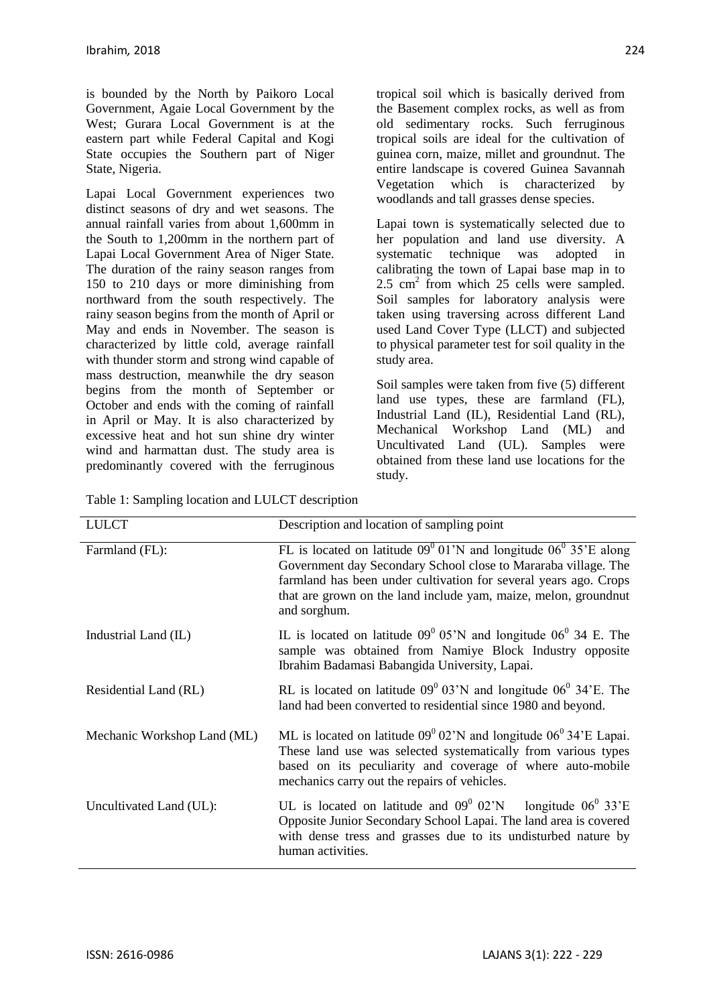is bounded by the North by Paikoro Local Government, Agaie Local Government by the West; Gurara Local Government is at the eastern part while Federal Capital and Kogi State occupies the Southern part of Niger State, Nigeria.

Lapai Local Government experiences two distinct seasons of dry and wet seasons. The annual rainfall varies from about 1,600mm in the South to 1,200mm in the northern part of Lapai Local Government Area of Niger State. The duration of the rainy season ranges from 150 to 210 days or more diminishing from northward from the south respectively. The rainy season begins from the month of April or May and ends in November. The season is characterized by little cold, average rainfall with thunder storm and strong wind capable of mass destruction, meanwhile the dry season begins from the month of September or October and ends with the coming of rainfall in April or May. It is also characterized by excessive heat and hot sun shine dry winter wind and harmattan dust. The study area is predominantly covered with the ferruginous tropical soil which is basically derived from the Basement complex rocks, as well as from old sedimentary rocks. Such ferruginous tropical soils are ideal for the cultivation of guinea corn, maize, millet and groundnut. The entire landscape is covered Guinea Savannah Vegetation which is characterized by woodlands and tall grasses dense species.

Lapai town is systematically selected due to her population and land use diversity. A systematic technique was adopted in calibrating the town of Lapai base map in to 2.5 cm<sup>2</sup> from which 25 cells were sampled. Soil samples for laboratory analysis were taken using traversing across different Land used Land Cover Type (LLCT) and subjected to physical parameter test for soil quality in the study area.

Soil samples were taken from five (5) different land use types, these are farmland (FL), Industrial Land (IL), Residential Land (RL), Mechanical Workshop Land (ML) and Uncultivated Land (UL). Samples were obtained from these land use locations for the study.

| <b>LULCT</b>                | Description and location of sampling point                                                                                                                                                                                                                                                                  |
|-----------------------------|-------------------------------------------------------------------------------------------------------------------------------------------------------------------------------------------------------------------------------------------------------------------------------------------------------------|
| Farmland (FL):              | FL is located on latitude $09^{\circ}$ 01'N and longitude $06^{\circ}$ 35'E along<br>Government day Secondary School close to Mararaba village. The<br>farmland has been under cultivation for several years ago. Crops<br>that are grown on the land include yam, maize, melon, ground nut<br>and sorghum. |
| Industrial Land (IL)        | IL is located on latitude $09^{\circ}$ 05'N and longitude 06 <sup>°</sup> 34 E. The<br>sample was obtained from Namiye Block Industry opposite<br>Ibrahim Badamasi Babangida University, Lapai.                                                                                                             |
| Residential Land (RL)       | RL is located on latitude $09^{\circ}$ 03'N and longitude $06^{\circ}$ 34'E. The<br>land had been converted to residential since 1980 and beyond.                                                                                                                                                           |
| Mechanic Workshop Land (ML) | ML is located on latitude $09^{\circ}$ 02'N and longitude $06^{\circ}$ 34'E Lapai.<br>These land use was selected systematically from various types<br>based on its peculiarity and coverage of where auto-mobile<br>mechanics carry out the repairs of vehicles.                                           |
| Uncultivated Land (UL):     | UL is located on latitude and $09^{\circ}$ 02'N longitude $06^{\circ}$ 33'E<br>Opposite Junior Secondary School Lapai. The land area is covered<br>with dense tress and grasses due to its undisturbed nature by<br>human activities.                                                                       |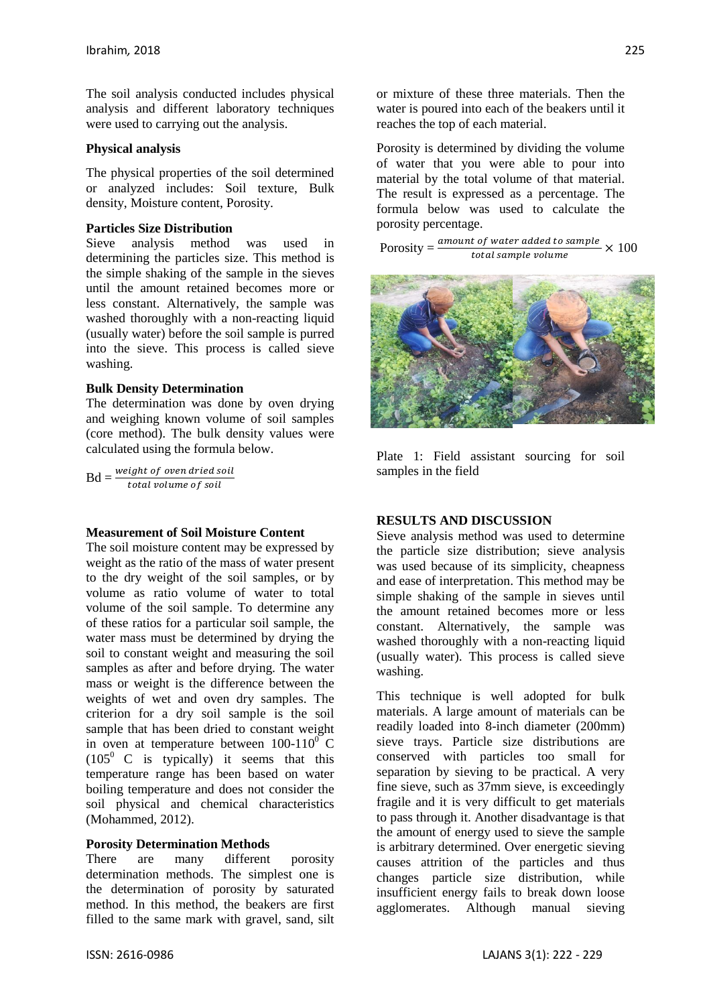The soil analysis conducted includes physical analysis and different laboratory techniques were used to carrying out the analysis.

## **Physical analysis**

The physical properties of the soil determined or analyzed includes: Soil texture, Bulk density, Moisture content, Porosity.

## **Particles Size Distribution**

Sieve analysis method was used in determining the particles size. This method is the simple shaking of the sample in the sieves until the amount retained becomes more or less constant. Alternatively, the sample was washed thoroughly with a non-reacting liquid (usually water) before the soil sample is purred into the sieve. This process is called sieve washing.

## **Bulk Density Determination**

The determination was done by oven drying and weighing known volume of soil samples (core method). The bulk density values were calculated using the formula below.

 $Bd = \frac{weight\ of\ over\ dried\ soil}$ total volume of soil

## **Measurement of Soil Moisture Content**

The soil moisture content may be expressed by weight as the ratio of the mass of water present to the dry weight of the soil samples, or by volume as ratio volume of water to total volume of the soil sample. To determine any of these ratios for a particular soil sample, the water mass must be determined by drying the soil to constant weight and measuring the soil samples as after and before drying. The water mass or weight is the difference between the weights of wet and oven dry samples. The criterion for a dry soil sample is the soil sample that has been dried to constant weight in oven at temperature between  $100-110^0$  C  $(105^{\circ} \text{ C} \text{ is typically})$  it seems that this temperature range has been based on water boiling temperature and does not consider the soil physical and chemical characteristics (Mohammed, 2012).

## **Porosity Determination Methods**

There are many different porosity determination methods. The simplest one is the determination of porosity by saturated method. In this method, the beakers are first filled to the same mark with gravel, sand, silt or mixture of these three materials. Then the water is poured into each of the beakers until it reaches the top of each material.

Porosity is determined by dividing the volume of water that you were able to pour into material by the total volume of that material. The result is expressed as a percentage. The formula below was used to calculate the porosity percentage.

Porosity  $=$  $\frac{amount\ of\ water\ added\ to\ sample}{total\ cumulative\ volume} \times 100$ total sample volume



Plate 1: Field assistant sourcing for soil samples in the field

## **RESULTS AND DISCUSSION**

Sieve analysis method was used to determine the particle size distribution; sieve analysis was used because of its simplicity, cheapness and ease of interpretation. This method may be simple shaking of the sample in sieves until the amount retained becomes more or less constant. Alternatively, the sample was washed thoroughly with a non-reacting liquid (usually water). This process is called sieve washing.

This technique is well adopted for bulk materials. A large amount of materials can be readily loaded into 8-inch diameter (200mm) sieve trays. Particle size distributions are conserved with particles too small for separation by sieving to be practical. A very fine sieve, such as 37mm sieve, is exceedingly fragile and it is very difficult to get materials to pass through it. Another disadvantage is that the amount of energy used to sieve the sample is arbitrary determined. Over energetic sieving causes attrition of the particles and thus changes particle size distribution, while insufficient energy fails to break down loose agglomerates. Although manual sieving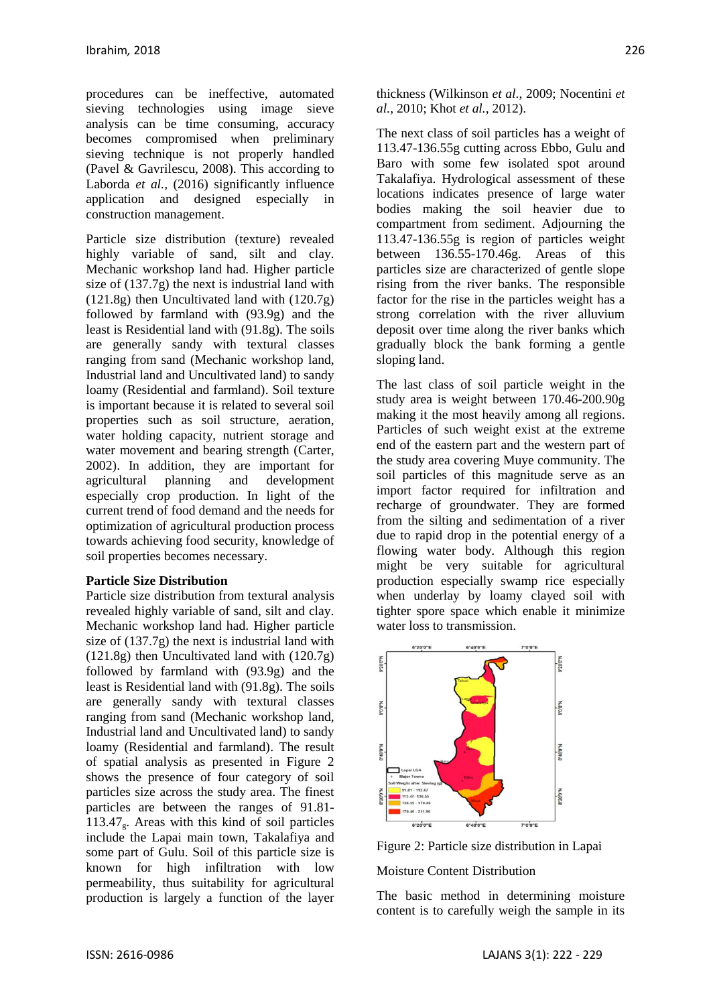procedures can be ineffective, automated sieving technologies using image sieve analysis can be time consuming, accuracy becomes compromised when preliminary sieving technique is not properly handled [\(Pavel & Gavrilescu, 2008\)](#page-7-0). This according to [Laborda](#page-7-1) *et al.*, (2016) significantly influence application and designed especially in construction management.

Particle size distribution (texture) revealed highly variable of sand, silt and clay. Mechanic workshop land had. Higher particle size of (137.7g) the next is industrial land with (121.8g) then Uncultivated land with (120.7g) followed by farmland with (93.9g) and the least is Residential land with (91.8g). The soils are generally sandy with textural classes ranging from sand (Mechanic workshop land, Industrial land and Uncultivated land) to sandy loamy (Residential and farmland). Soil texture is important because it is related to several soil properties such as soil structure, aeration, water holding capacity, nutrient storage and water movement and bearing strength (Carter, 2002). In addition, they are important for agricultural planning and development especially crop production. In light of the current trend of food demand and the needs for optimization of agricultural production process towards achieving food security, knowledge of soil properties becomes necessary.

## **Particle Size Distribution**

Particle size distribution from textural analysis revealed highly variable of sand, silt and clay. Mechanic workshop land had. Higher particle size of (137.7g) the next is industrial land with  $(121.8g)$  then Uncultivated land with  $(120.7g)$ followed by farmland with (93.9g) and the least is Residential land with (91.8g). The soils are generally sandy with textural classes ranging from sand (Mechanic workshop land, Industrial land and Uncultivated land) to sandy loamy (Residential and farmland). The result of spatial analysis as presented in Figure 2 shows the presence of four category of soil particles size across the study area. The finest particles are between the ranges of 91.81- 113.47<sub>9</sub>. Areas with this kind of soil particles include the Lapai main town, Takalafiya and some part of Gulu. Soil of this particle size is known for high infiltration with low permeability, thus suitability for agricultural production is largely a function of the layer thickness [\(Wilkinson](#page-7-2) *et al.*, 2009; [Nocentini](#page-7-3) *et al.*[, 2010;](#page-7-3) Khot *et al.*[, 2012\)](#page-7-4).

The next class of soil particles has a weight of 113.47-136.55g cutting across Ebbo, Gulu and Baro with some few isolated spot around Takalafiya. Hydrological assessment of these locations indicates presence of large water bodies making the soil heavier due to compartment from sediment. Adjourning the 113.47-136.55g is region of particles weight between 136.55-170.46g. Areas of this particles size are characterized of gentle slope rising from the river banks. The responsible factor for the rise in the particles weight has a strong correlation with the river alluvium deposit over time along the river banks which gradually block the bank forming a gentle sloping land.

The last class of soil particle weight in the study area is weight between 170.46-200.90g making it the most heavily among all regions. Particles of such weight exist at the extreme end of the eastern part and the western part of the study area covering Muye community. The soil particles of this magnitude serve as an import factor required for infiltration and recharge of groundwater. They are formed from the silting and sedimentation of a river due to rapid drop in the potential energy of a flowing water body. Although this region might be very suitable for agricultural production especially swamp rice especially when underlay by loamy clayed soil with tighter spore space which enable it minimize water loss to transmission.



Figure 2: Particle size distribution in Lapai

Moisture Content Distribution

The basic method in determining moisture content is to carefully weigh the sample in its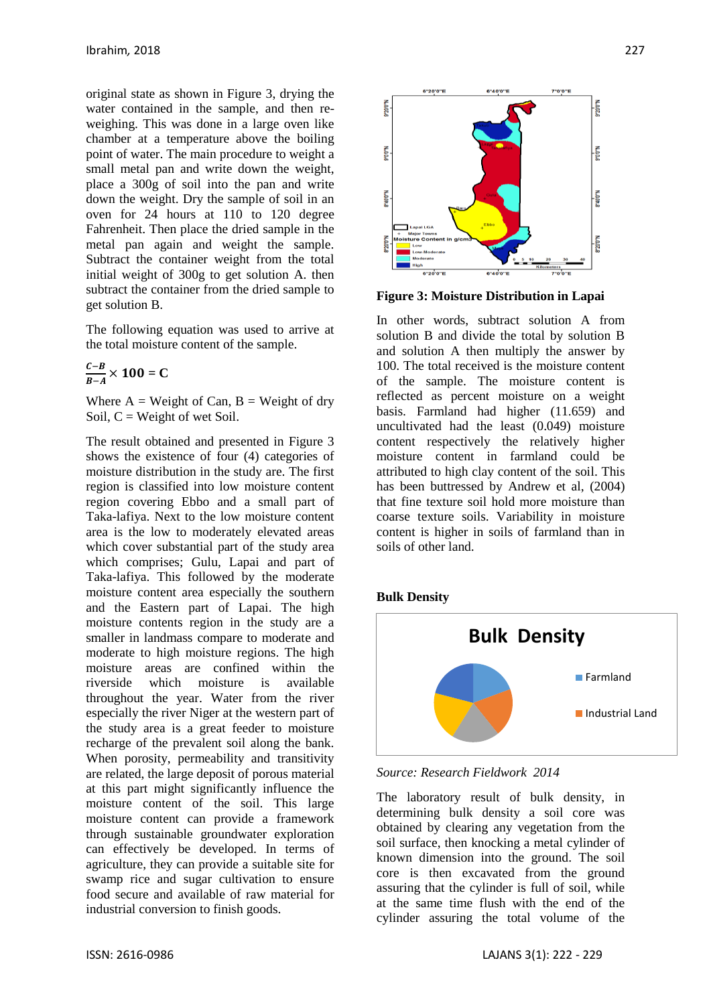original state as shown in Figure 3, drying the water contained in the sample, and then reweighing. This was done in a large oven like chamber at a temperature above the boiling point of water. The main procedure to weight a small metal pan and write down the weight, place a 300g of soil into the pan and write down the weight. Dry the sample of soil in an oven for 24 hours at 110 to 120 degree Fahrenheit. Then place the dried sample in the metal pan again and weight the sample. Subtract the container weight from the total initial weight of 300g to get solution A. then subtract the container from the dried sample to get solution B.

The following equation was used to arrive at the total moisture content of the sample.

$$
\frac{C-B}{B-A}\times 100=C
$$

Where  $A = Weight of Can, B = Weight of dry$ Soil,  $C = Weight$  of wet Soil.

The result obtained and presented in Figure 3 shows the existence of four (4) categories of moisture distribution in the study are. The first region is classified into low moisture content region covering Ebbo and a small part of Taka-lafiya. Next to the low moisture content area is the low to moderately elevated areas which cover substantial part of the study area which comprises; Gulu, Lapai and part of Taka-lafiya. This followed by the moderate moisture content area especially the southern and the Eastern part of Lapai. The high moisture contents region in the study are a smaller in landmass compare to moderate and moderate to high moisture regions. The high moisture areas are confined within the riverside which moisture is available throughout the year. Water from the river especially the river Niger at the western part of the study area is a great feeder to moisture recharge of the prevalent soil along the bank. When porosity, permeability and transitivity are related, the large deposit of porous material at this part might significantly influence the moisture content of the soil. This large moisture content can provide a framework through sustainable groundwater exploration can effectively be developed. In terms of agriculture, they can provide a suitable site for swamp rice and sugar cultivation to ensure food secure and available of raw material for industrial conversion to finish goods.



**Figure 3: Moisture Distribution in Lapai**

In other words, subtract solution A from solution B and divide the total by solution B and solution A then multiply the answer by 100. The total received is the moisture content of the sample. The moisture content is reflected as percent moisture on a weight basis. Farmland had higher (11.659) and uncultivated had the least (0.049) moisture content respectively the relatively higher moisture content in farmland could be attributed to high clay content of the soil. This has been buttressed by Andrew et al, (2004) that fine texture soil hold more moisture than coarse texture soils. Variability in moisture content is higher in soils of farmland than in soils of other land.





*Source: Research Fieldwork 2014*

The laboratory result of bulk density, in determining bulk density a soil core was obtained by clearing any vegetation from the soil surface, then knocking a metal cylinder of known dimension into the ground. The soil core is then excavated from the ground assuring that the cylinder is full of soil, while at the same time flush with the end of the cylinder assuring the total volume of the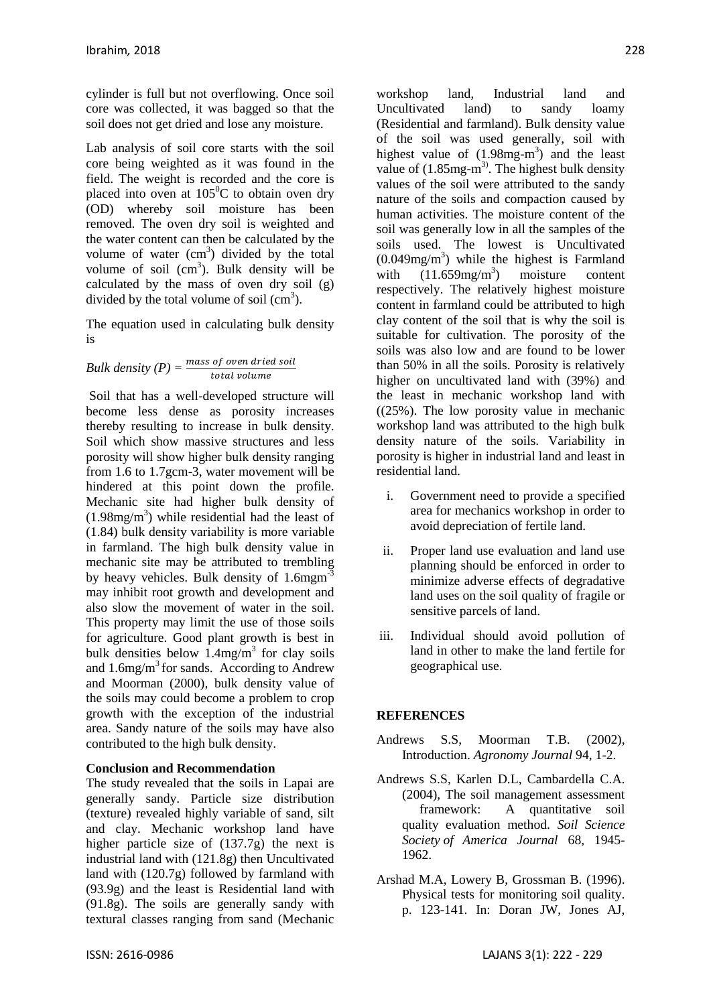cylinder is full but not overflowing. Once soil core was collected, it was bagged so that the soil does not get dried and lose any moisture.

Lab analysis of soil core starts with the soil core being weighted as it was found in the field. The weight is recorded and the core is placed into oven at  $105^{\circ}$ C to obtain oven dry (OD) whereby soil moisture has been removed. The oven dry soil is weighted and the water content can then be calculated by the volume of water  $(cm<sup>3</sup>)$  divided by the total volume of soil  $(cm^3)$ . Bulk density will be calculated by the mass of oven dry soil (g) divided by the total volume of soil  $(cm<sup>3</sup>)$ .

The equation used in calculating bulk density is

*Bulk density (P)* = 
$$
\frac{mass \space of \space open \space dried \space soil}{total \space volume}
$$

Soil that has a well-developed structure will become less dense as porosity increases thereby resulting to increase in bulk density. Soil which show massive structures and less porosity will show higher bulk density ranging from 1.6 to 1.7gcm-3, water movement will be hindered at this point down the profile. Mechanic site had higher bulk density of  $(1.98mg/m<sup>3</sup>)$  while residential had the least of (1.84) bulk density variability is more variable in farmland. The high bulk density value in mechanic site may be attributed to trembling by heavy vehicles. Bulk density of 1.6mgm<sup>-3</sup> may inhibit root growth and development and also slow the movement of water in the soil. This property may limit the use of those soils for agriculture. Good plant growth is best in bulk densities below  $1.4 \text{mg/m}^3$  for clay soils and  $1.6$ mg/m<sup>3</sup> for sands. According to Andrew and Moorman (2000), bulk density value of the soils may could become a problem to crop growth with the exception of the industrial area. Sandy nature of the soils may have also contributed to the high bulk density.

## **Conclusion and Recommendation**

The study revealed that the soils in Lapai are generally sandy. Particle size distribution (texture) revealed highly variable of sand, silt and clay. Mechanic workshop land have higher particle size of (137.7g) the next is industrial land with (121.8g) then Uncultivated land with (120.7g) followed by farmland with (93.9g) and the least is Residential land with (91.8g). The soils are generally sandy with textural classes ranging from sand (Mechanic

workshop land, Industrial land and Uncultivated land) to sandy loamy (Residential and farmland). Bulk density value of the soil was used generally, soil with highest value of  $(1.98mg-m<sup>3</sup>)$  and the least value of  $(1.85mg-m<sup>3</sup>)$ . The highest bulk density values of the soil were attributed to the sandy nature of the soils and compaction caused by human activities. The moisture content of the soil was generally low in all the samples of the soils used. The lowest is Uncultivated  $(0.049mg/m<sup>3</sup>)$  while the highest is Farmland with  $(11.659mg/m^3)$ ) moisture content respectively. The relatively highest moisture content in farmland could be attributed to high clay content of the soil that is why the soil is suitable for cultivation. The porosity of the soils was also low and are found to be lower than 50% in all the soils. Porosity is relatively higher on uncultivated land with (39%) and the least in mechanic workshop land with  $((25%)$ . The low porosity value in mechanic workshop land was attributed to the high bulk density nature of the soils. Variability in porosity is higher in industrial land and least in residential land.

- i. Government need to provide a specified area for mechanics workshop in order to avoid depreciation of fertile land.
- ii. Proper land use evaluation and land use planning should be enforced in order to minimize adverse effects of degradative land uses on the soil quality of fragile or sensitive parcels of land.
- iii. Individual should avoid pollution of land in other to make the land fertile for geographical use.

## **REFERENCES**

- Andrews S.S, Moorman T.B. (2002), Introduction. *Agronomy Journal* 94, 1-2.
- Andrews S.S, Karlen D.L, Cambardella C.A. (2004), The soil management assessment framework: A quantitative soil quality evaluation method. *Soil Science Society of America Journal* 68, 1945- 1962.
- Arshad M.A, Lowery B, Grossman B. (1996). Physical tests for monitoring soil quality. p. 123-141. In: Doran JW, Jones AJ,